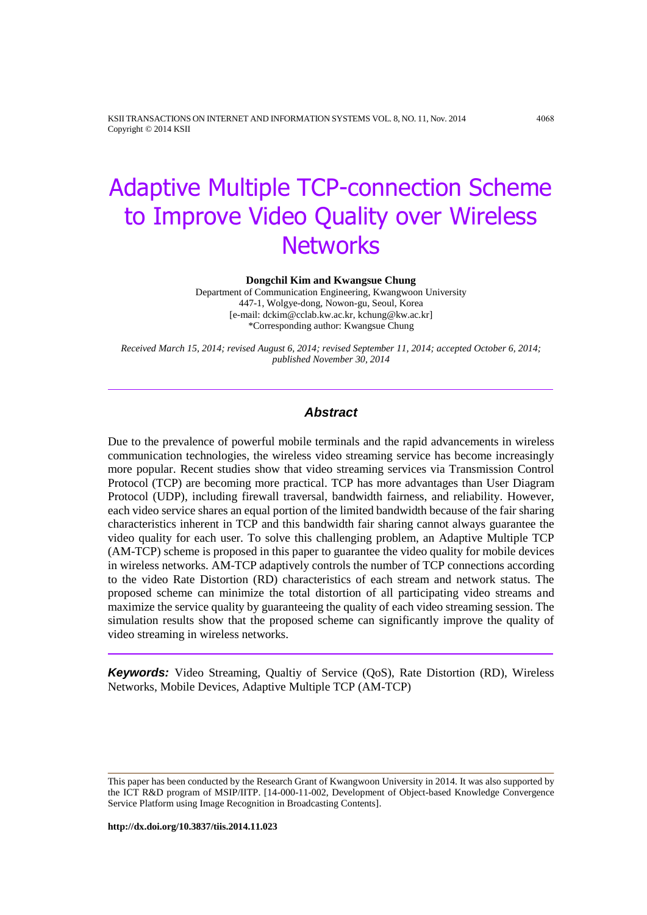KSII TRANSACTIONS ON INTERNET AND INFORMATION SYSTEMS VOL. 8, NO. 11, Nov. 2014 4068 Copyright © 2014 KSII

# Adaptive Multiple TCP-connection Scheme to Improve Video Quality over Wireless **Networks**

**Dongchil Kim and Kwangsue Chung**

Department of Communication Engineering, Kwangwoon University 447-1, Wolgye-dong, Nowon-gu, Seoul, Korea [e-mail: dckim@cclab.kw.ac.kr, kchung@kw.ac.kr] \*Corresponding author: Kwangsue Chung

*Received March 15, 2014; revised August 6, 2014; revised September 11, 2014; accepted October 6, 2014; published November 30, 2014*

## *Abstract*

Due to the prevalence of powerful mobile terminals and the rapid advancements in wireless communication technologies, the wireless video streaming service has become increasingly more popular. Recent studies show that video streaming services via Transmission Control Protocol (TCP) are becoming more practical. TCP has more advantages than User Diagram Protocol (UDP), including firewall traversal, bandwidth fairness, and reliability. However, each video service shares an equal portion of the limited bandwidth because of the fair sharing characteristics inherent in TCP and this bandwidth fair sharing cannot always guarantee the video quality for each user. To solve this challenging problem, an Adaptive Multiple TCP (AM-TCP) scheme is proposed in this paper to guarantee the video quality for mobile devices in wireless networks. AM-TCP adaptively controls the number of TCP connections according to the video Rate Distortion (RD) characteristics of each stream and network status. The proposed scheme can minimize the total distortion of all participating video streams and maximize the service quality by guaranteeing the quality of each video streaming session. The simulation results show that the proposed scheme can significantly improve the quality of video streaming in wireless networks.

*Keywords:* Video Streaming, Qualtiy of Service (QoS), Rate Distortion (RD), Wireless Networks, Mobile Devices, Adaptive Multiple TCP (AM-TCP)

This paper has been conducted by the Research Grant of Kwangwoon University in 2014. It was also supported by the ICT R&D program of MSIP/IITP. [14-000-11-002, Development of Object-based Knowledge Convergence Service Platform using Image Recognition in Broadcasting Contents].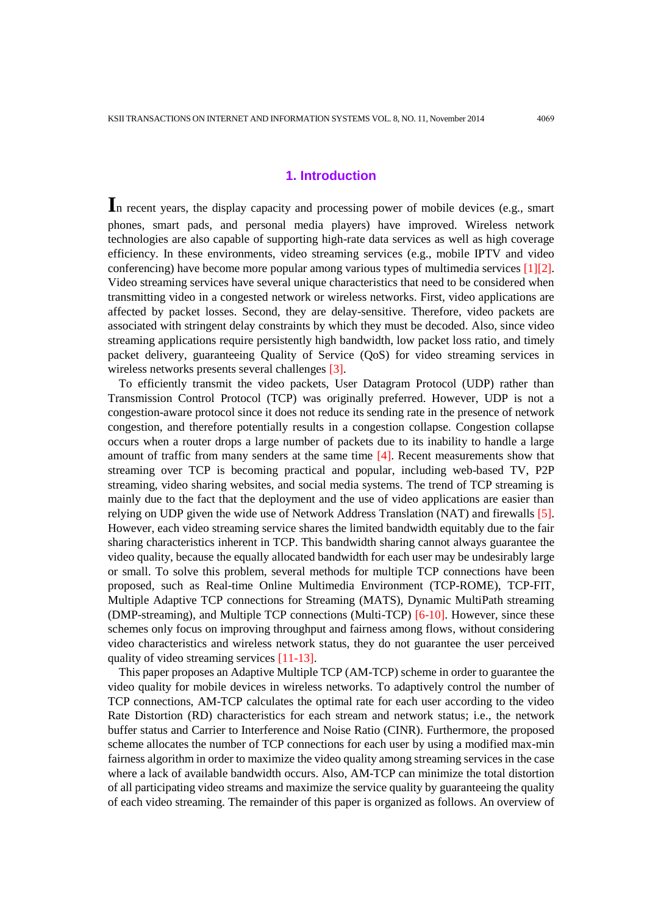## **1. Introduction**

**I**<sup>n</sup> recent years, the display capacity and processing power of mobile devices (e.g., smart phones, smart pads, and personal media players) have improved. Wireless network technologies are also capable of supporting high-rate data services as well as high coverage efficiency. In these environments, video streaming services (e.g., mobile IPTV and video conferencing) have become more popular among various types of multimedia services [1][2]. Video streaming services have several unique characteristics that need to be considered when transmitting video in a congested network or wireless networks. First, video applications are affected by packet losses. Second, they are delay-sensitive. Therefore, video packets are associated with stringent delay constraints by which they must be decoded. Also, since video streaming applications require persistently high bandwidth, low packet loss ratio, and timely packet delivery, guaranteeing Quality of Service (QoS) for video streaming services in wireless networks presents several challenges [3].

To efficiently transmit the video packets, User Datagram Protocol (UDP) rather than Transmission Control Protocol (TCP) was originally preferred. However, UDP is not a congestion-aware protocol since it does not reduce its sending rate in the presence of network congestion, and therefore potentially results in a congestion collapse. Congestion collapse occurs when a router drops a large number of packets due to its inability to handle a large amount of traffic from many senders at the same time  $[4]$ . Recent measurements show that streaming over TCP is becoming practical and popular, including web-based TV, P2P streaming, video sharing websites, and social media systems. The trend of TCP streaming is mainly due to the fact that the deployment and the use of video applications are easier than relying on UDP given the wide use of Network Address Translation (NAT) and firewalls [5]. However, each video streaming service shares the limited bandwidth equitably due to the fair sharing characteristics inherent in TCP. This bandwidth sharing cannot always guarantee the video quality, because the equally allocated bandwidth for each user may be undesirably large or small. To solve this problem, several methods for multiple TCP connections have been proposed, such as Real-time Online Multimedia Environment (TCP-ROME), TCP-FIT, Multiple Adaptive TCP connections for Streaming (MATS), Dynamic MultiPath streaming (DMP-streaming), and Multiple TCP connections (Multi-TCP) [6-10]. However, since these schemes only focus on improving throughput and fairness among flows, without considering video characteristics and wireless network status, they do not guarantee the user perceived quality of video streaming services [11-13].

This paper proposes an Adaptive Multiple TCP (AM-TCP) scheme in order to guarantee the video quality for mobile devices in wireless networks. To adaptively control the number of TCP connections, AM-TCP calculates the optimal rate for each user according to the video Rate Distortion (RD) characteristics for each stream and network status; i.e., the network buffer status and Carrier to Interference and Noise Ratio (CINR). Furthermore, the proposed scheme allocates the number of TCP connections for each user by using a modified max-min fairness algorithm in order to maximize the video quality among streaming services in the case where a lack of available bandwidth occurs. Also, AM-TCP can minimize the total distortion of all participating video streams and maximize the service quality by guaranteeing the quality of each video streaming. The remainder of this paper is organized as follows. An overview of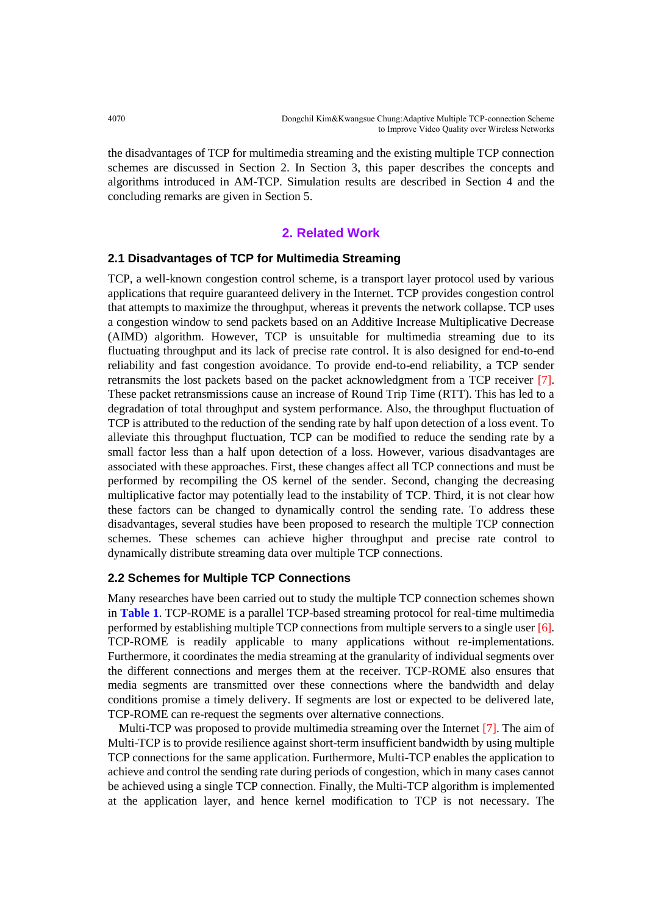the disadvantages of TCP for multimedia streaming and the existing multiple TCP connection schemes are discussed in Section 2. In Section 3, this paper describes the concepts and algorithms introduced in AM-TCP. Simulation results are described in Section 4 and the concluding remarks are given in Section 5.

## **2. Related Work**

## **2.1 Disadvantages of TCP for Multimedia Streaming**

TCP, a well-known congestion control scheme, is a transport layer protocol used by various applications that require guaranteed delivery in the Internet. TCP provides congestion control that attempts to maximize the throughput, whereas it prevents the network collapse. TCP uses a congestion window to send packets based on an Additive Increase Multiplicative Decrease (AIMD) algorithm. However, TCP is unsuitable for multimedia streaming due to its fluctuating throughput and its lack of precise rate control. It is also designed for end-to-end reliability and fast congestion avoidance. To provide end-to-end reliability, a TCP sender retransmits the lost packets based on the packet acknowledgment from a TCP receiver [7]. These packet retransmissions cause an increase of Round Trip Time (RTT). This has led to a degradation of total throughput and system performance. Also, the throughput fluctuation of TCP is attributed to the reduction of the sending rate by half upon detection of a loss event. To alleviate this throughput fluctuation, TCP can be modified to reduce the sending rate by a small factor less than a half upon detection of a loss. However, various disadvantages are associated with these approaches. First, these changes affect all TCP connections and must be performed by recompiling the OS kernel of the sender. Second, changing the decreasing multiplicative factor may potentially lead to the instability of TCP. Third, it is not clear how these factors can be changed to dynamically control the sending rate. To address these disadvantages, several studies have been proposed to research the multiple TCP connection schemes. These schemes can achieve higher throughput and precise rate control to dynamically distribute streaming data over multiple TCP connections.

## **2.2 Schemes for Multiple TCP Connections**

Many researches have been carried out to study the multiple TCP connection schemes shown in **Table 1**. TCP-ROME is a parallel TCP-based streaming protocol for real-time multimedia performed by establishing multiple TCP connections from multiple servers to a single user [6]. TCP-ROME is readily applicable to many applications without re-implementations. Furthermore, it coordinates the media streaming at the granularity of individual segments over the different connections and merges them at the receiver. TCP-ROME also ensures that media segments are transmitted over these connections where the bandwidth and delay conditions promise a timely delivery. If segments are lost or expected to be delivered late, TCP-ROME can re-request the segments over alternative connections.

Multi-TCP was proposed to provide multimedia streaming over the Internet [7]. The aim of Multi-TCP is to provide resilience against short-term insufficient bandwidth by using multiple TCP connections for the same application. Furthermore, Multi-TCP enables the application to achieve and control the sending rate during periods of congestion, which in many cases cannot be achieved using a single TCP connection. Finally, the Multi-TCP algorithm is implemented at the application layer, and hence kernel modification to TCP is not necessary. The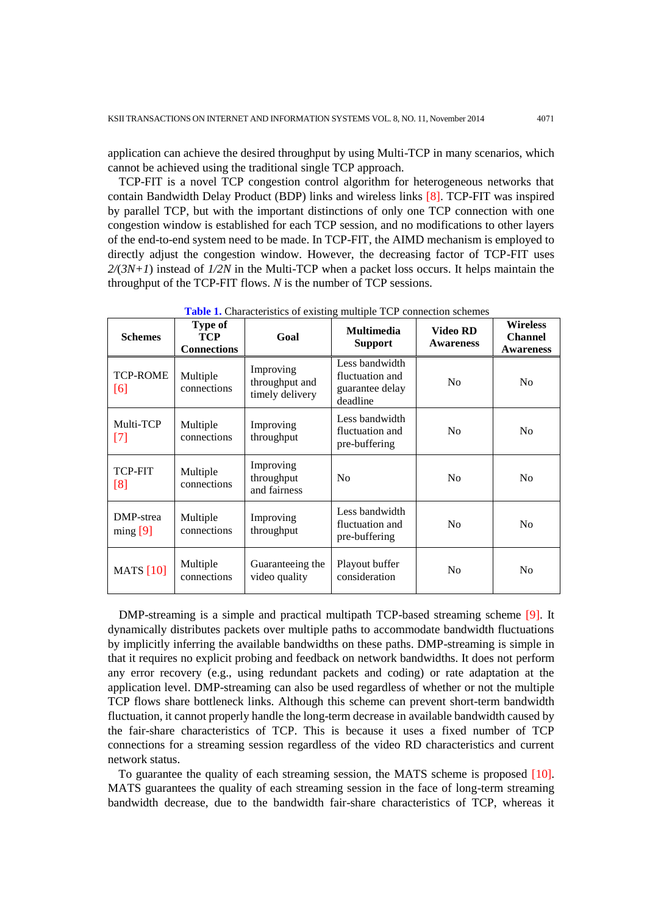application can achieve the desired throughput by using Multi-TCP in many scenarios, which cannot be achieved using the traditional single TCP approach.

TCP-FIT is a novel TCP congestion control algorithm for heterogeneous networks that contain Bandwidth Delay Product (BDP) links and wireless links [8]. TCP-FIT was inspired by parallel TCP, but with the important distinctions of only one TCP connection with one congestion window is established for each TCP session, and no modifications to other layers of the end-to-end system need to be made. In TCP-FIT, the AIMD mechanism is employed to directly adjust the congestion window. However, the decreasing factor of TCP-FIT uses *2/*(*3N+1*) instead of *1/2N* in the Multi-TCP when a packet loss occurs. It helps maintain the throughput of the TCP-FIT flows. *N* is the number of TCP sessions.

| <b>Schemes</b>          | <b>Type of</b><br><b>TCP</b><br><b>Connections</b> | Goal                                           | <b>Multimedia</b><br><b>Support</b>                              | <b>Video RD</b><br><b>Awareness</b> | <b>Wireless</b><br><b>Channel</b><br><b>Awareness</b> |
|-------------------------|----------------------------------------------------|------------------------------------------------|------------------------------------------------------------------|-------------------------------------|-------------------------------------------------------|
| <b>TCP-ROME</b><br>[6]  | Multiple<br>connections                            | Improving<br>throughput and<br>timely delivery | Less bandwidth<br>fluctuation and<br>guarantee delay<br>deadline | N <sub>0</sub>                      | N <sub>0</sub>                                        |
| Multi-TCP<br>$[7]$      | Multiple<br>connections                            | Improving<br>throughput                        | Less bandwidth<br>fluctuation and<br>pre-buffering               | N <sub>0</sub>                      | N <sub>0</sub>                                        |
| <b>TCP-FIT</b><br>[8]   | Multiple<br>connections                            | Improving<br>throughput<br>and fairness        | No                                                               | N <sub>0</sub>                      | N <sub>0</sub>                                        |
| DMP-strea<br>$\min$ [9] | Multiple<br>connections                            | Improving<br>throughput                        | Less bandwidth<br>fluctuation and<br>pre-buffering               | N <sub>0</sub>                      | No                                                    |
| <b>MATS</b> [10]        | Multiple<br>connections                            | Guaranteeing the<br>video quality              | Playout buffer<br>consideration                                  | N <sub>0</sub>                      | N <sub>0</sub>                                        |

**Table 1.** Characteristics of existing multiple TCP connection schemes

DMP-streaming is a simple and practical multipath TCP-based streaming scheme [9]. It dynamically distributes packets over multiple paths to accommodate bandwidth fluctuations by implicitly inferring the available bandwidths on these paths. DMP-streaming is simple in that it requires no explicit probing and feedback on network bandwidths. It does not perform any error recovery (e.g., using redundant packets and coding) or rate adaptation at the application level. DMP-streaming can also be used regardless of whether or not the multiple TCP flows share bottleneck links. Although this scheme can prevent short-term bandwidth fluctuation, it cannot properly handle the long-term decrease in available bandwidth caused by the fair-share characteristics of TCP. This is because it uses a fixed number of TCP connections for a streaming session regardless of the video RD characteristics and current network status.

To guarantee the quality of each streaming session, the MATS scheme is proposed [10]. MATS guarantees the quality of each streaming session in the face of long-term streaming bandwidth decrease, due to the bandwidth fair-share characteristics of TCP, whereas it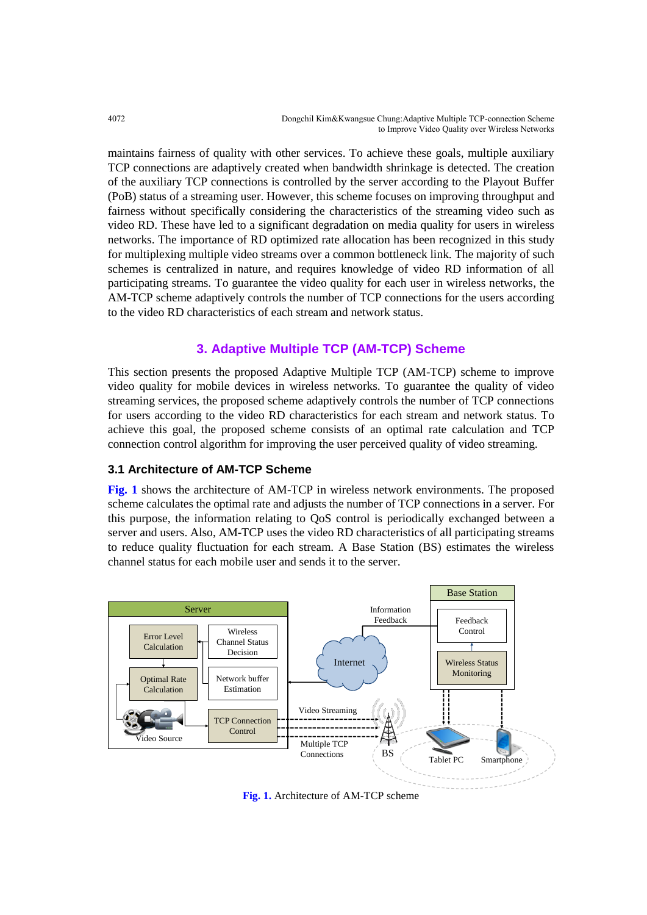maintains fairness of quality with other services. To achieve these goals, multiple auxiliary TCP connections are adaptively created when bandwidth shrinkage is detected. The creation of the auxiliary TCP connections is controlled by the server according to the Playout Buffer (PoB) status of a streaming user. However, this scheme focuses on improving throughput and fairness without specifically considering the characteristics of the streaming video such as video RD. These have led to a significant degradation on media quality for users in wireless networks. The importance of RD optimized rate allocation has been recognized in this study for multiplexing multiple video streams over a common bottleneck link. The majority of such schemes is centralized in nature, and requires knowledge of video RD information of all participating streams. To guarantee the video quality for each user in wireless networks, the AM-TCP scheme adaptively controls the number of TCP connections for the users according to the video RD characteristics of each stream and network status.

## **3. Adaptive Multiple TCP (AM-TCP) Scheme**

This section presents the proposed Adaptive Multiple TCP (AM-TCP) scheme to improve video quality for mobile devices in wireless networks. To guarantee the quality of video streaming services, the proposed scheme adaptively controls the number of TCP connections for users according to the video RD characteristics for each stream and network status. To achieve this goal, the proposed scheme consists of an optimal rate calculation and TCP connection control algorithm for improving the user perceived quality of video streaming.

## **3.1 Architecture of AM-TCP Scheme**

**Fig. 1** shows the architecture of AM-TCP in wireless network environments. The proposed scheme calculates the optimal rate and adjusts the number of TCP connections in a server. For this purpose, the information relating to QoS control is periodically exchanged between a server and users. Also, AM-TCP uses the video RD characteristics of all participating streams to reduce quality fluctuation for each stream. A Base Station (BS) estimates the wireless channel status for each mobile user and sends it to the server.



**Fig. 1.** Architecture of AM-TCP scheme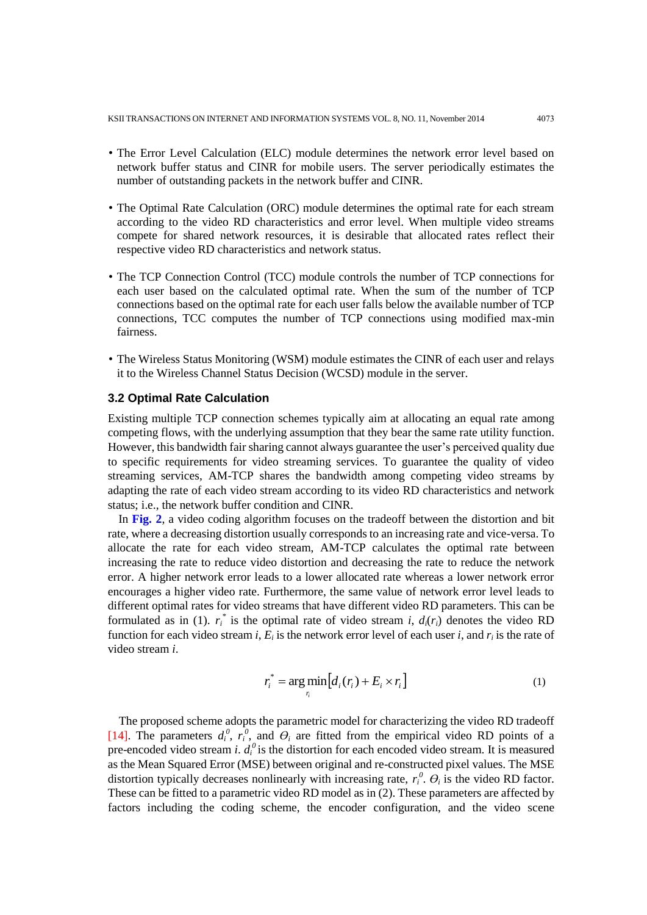- The Error Level Calculation (ELC) module determines the network error level based on network buffer status and CINR for mobile users. The server periodically estimates the number of outstanding packets in the network buffer and CINR.
- The Optimal Rate Calculation (ORC) module determines the optimal rate for each stream according to the video RD characteristics and error level. When multiple video streams compete for shared network resources, it is desirable that allocated rates reflect their respective video RD characteristics and network status.
- The TCP Connection Control (TCC) module controls the number of TCP connections for each user based on the calculated optimal rate. When the sum of the number of TCP connections based on the optimal rate for each user falls below the available number of TCP connections, TCC computes the number of TCP connections using modified max-min fairness.
- The Wireless Status Monitoring (WSM) module estimates the CINR of each user and relays it to the Wireless Channel Status Decision (WCSD) module in the server.

## **3.2 Optimal Rate Calculation**

Existing multiple TCP connection schemes typically aim at allocating an equal rate among competing flows, with the underlying assumption that they bear the same rate utility function. However, this bandwidth fair sharing cannot always guarantee the user's perceived quality due to specific requirements for video streaming services. To guarantee the quality of video streaming services, AM-TCP shares the bandwidth among competing video streams by adapting the rate of each video stream according to its video RD characteristics and network status; i.e., the network buffer condition and CINR.

In **Fig. 2**, a video coding algorithm focuses on the tradeoff between the distortion and bit rate, where a decreasing distortion usually corresponds to an increasing rate and vice-versa. To allocate the rate for each video stream, AM-TCP calculates the optimal rate between increasing the rate to reduce video distortion and decreasing the rate to reduce the network error. A higher network error leads to a lower allocated rate whereas a lower network error encourages a higher video rate. Furthermore, the same value of network error level leads to different optimal rates for video streams that have different video RD parameters. This can be formulated as in (1).  $r_i^*$  is the optimal rate of video stream *i*,  $d_i(r_i)$  denotes the video RD function for each video stream *i*,  $E_i$  is the network error level of each user *i*, and  $r_i$  is the rate of video stream *i*.

$$
r_i^* = \arg\min_{r_i} [d_i(r_i) + E_i \times r_i]
$$
 (1)

The proposed scheme adopts the parametric model for characterizing the video RD tradeoff [14]. The parameters  $d_i^0$ ,  $r_i^0$ , and  $\Theta_i$  are fitted from the empirical video RD points of a pre-encoded video stream *i*.  $d_i^0$  is the distortion for each encoded video stream. It is measured as the Mean Squared Error (MSE) between original and re-constructed pixel values. The MSE distortion typically decreases nonlinearly with increasing rate,  $r_i^0$ .  $\theta_i$  is the video RD factor. These can be fitted to a parametric video RD model as in (2). These parameters are affected by factors including the coding scheme, the encoder configuration, and the video scene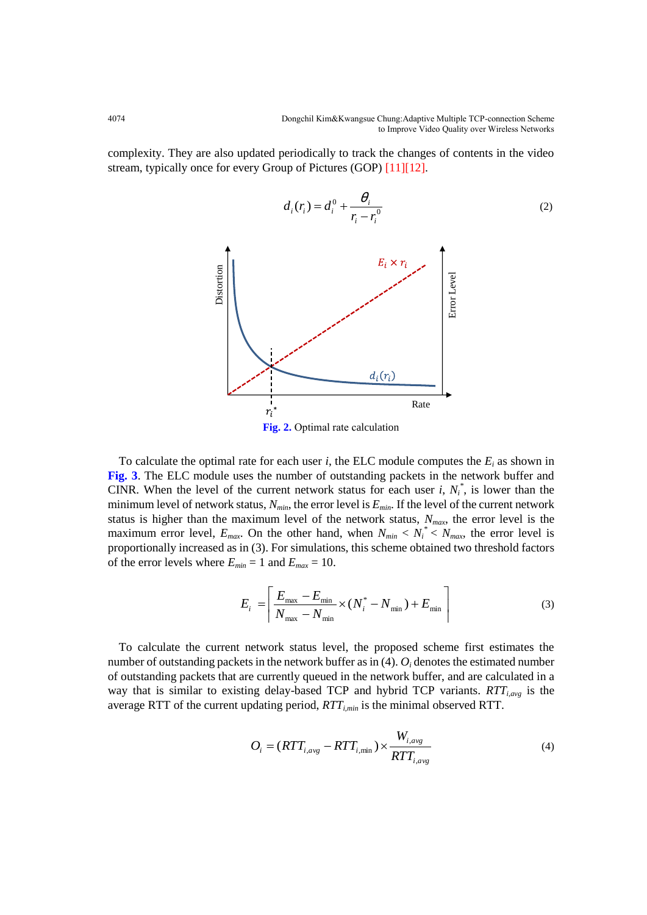complexity. They are also updated periodically to track the changes of contents in the video stream, typically once for every Group of Pictures (GOP) [11][12].



To calculate the optimal rate for each user  $i$ , the ELC module computes the  $E_i$  as shown in **Fig. 3**. The ELC module uses the number of outstanding packets in the network buffer and CINR. When the level of the current network status for each user *i*,  $N_i^*$ , is lower than the minimum level of network status, *Nmin*, the error level is *Emin*. If the level of the current network status is higher than the maximum level of the network status, *Nmax*, the error level is the maximum error level,  $E_{max}$ . On the other hand, when  $N_{min} < N_i^* < N_{max}$ , the error level is proportionally increased as in (3). For simulations, this scheme obtained two threshold factors of the error levels where  $E_{min} = 1$  and  $E_{max} = 10$ .

$$
E_{i} = \left[ \frac{E_{\text{max}} - E_{\text{min}}}{N_{\text{max}} - N_{\text{min}}} \times (N_{i}^{*} - N_{\text{min}}) + E_{\text{min}} \right]
$$
(3)

To calculate the current network status level, the proposed scheme first estimates the number of outstanding packets in the network buffer as in  $(4)$ .  $O_i$  denotes the estimated number of outstanding packets that are currently queued in the network buffer, and are calculated in a way that is similar to existing delay-based TCP and hybrid TCP variants. *RTTi,avg* is the average RTT of the current updating period, *RTTi,min* is the minimal observed RTT.

$$
O_i = (RTT_{i,avg} - RTT_{i,min}) \times \frac{W_{i,avg}}{RTT_{i,avg}}
$$
\n(4)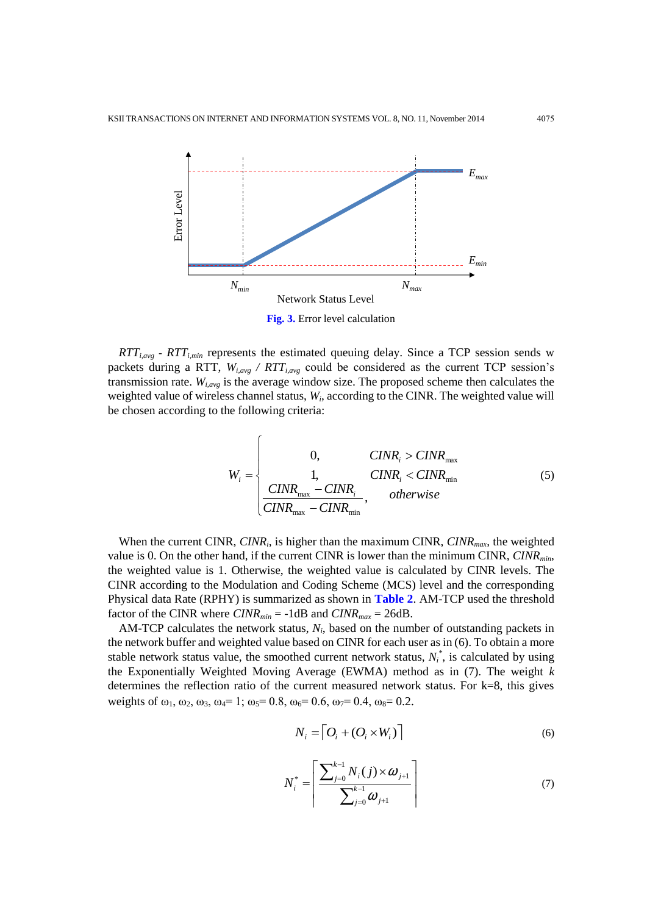

*RTTi,avg* - *RTTi,min* represents the estimated queuing delay. Since a TCP session sends w packets during a RTT, *Wi,avg / RTTi,avg* could be considered as the current TCP session's transmission rate. *Wi,avg* is the average window size. The proposed scheme then calculates the weighted value of wireless channel status,  $W_i$ , according to the CINR. The weighted value will be chosen according to the following criteria:

$$
W_{i} = \begin{cases} 0, & CINR_{i} > CINR_{\text{max}} \\ 1, & CINR_{i} < CINR_{\text{min}} \\ \frac{CINR_{\text{max}} - CINR_{i}}{CINR_{\text{max}} - CINR_{\text{min}}}, & otherwise \end{cases}
$$
(5)

When the current CINR, *CINR<sup>i</sup>* , is higher than the maximum CINR, *CINRmax*, the weighted value is 0. On the other hand, if the current CINR is lower than the minimum CINR, *CINRmin*, the weighted value is 1. Otherwise, the weighted value is calculated by CINR levels. The CINR according to the Modulation and Coding Scheme (MCS) level and the corresponding Physical data Rate (RPHY) is summarized as shown in **Table 2**. AM-TCP used the threshold factor of the CINR where *CINRmin* = -1dB and *CINRmax* = 26dB.

AM-TCP calculates the network status,  $N_i$ , based on the number of outstanding packets in the network buffer and weighted value based on CINR for each user as in (6). To obtain a more stable network status value, the smoothed current network status,  $N_i^*$ , is calculated by using the Exponentially Weighted Moving Average (EWMA) method as in (7). The weight *k* determines the reflection ratio of the current measured network status. For k=8, this gives weights of  $\omega_1$ ,  $\omega_2$ ,  $\omega_3$ ,  $\omega_4$ = 1;  $\omega_5$ = 0.8,  $\omega_6$ = 0.6,  $\omega_7$ = 0.4,  $\omega_8$ = 0.2.

$$
N_i = \left[ O_i + (O_i \times W_i) \right] \tag{6}
$$

$$
N_i^* = \left\lceil \frac{\sum_{j=0}^{k-1} N_i(j) \times \omega_{j+1}}{\sum_{j=0}^{k-1} \omega_{j+1}} \right\rceil
$$
 (7)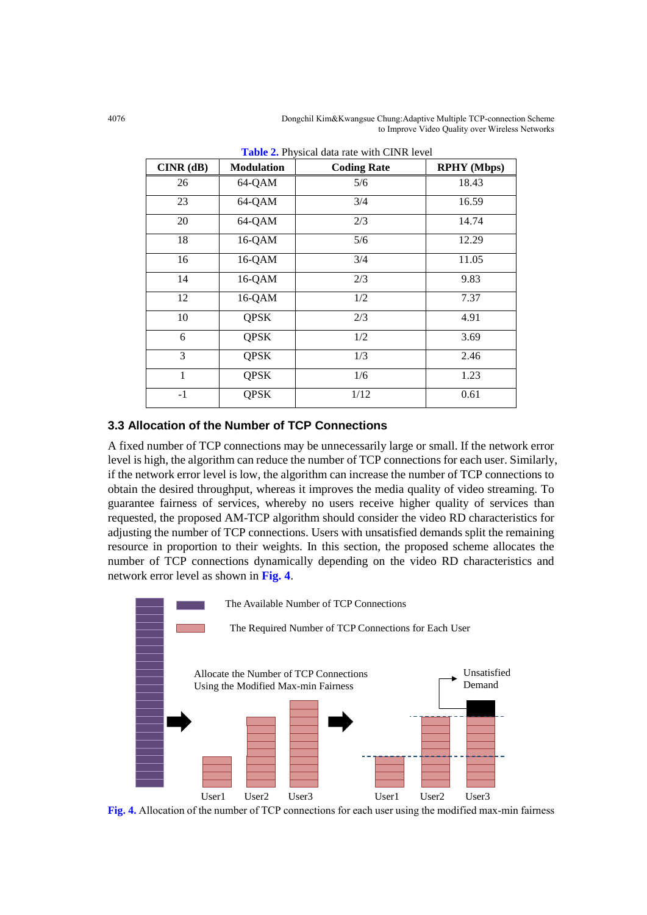4076 Dongchil Kim&Kwangsue Chung:Adaptive Multiple TCP-connection Scheme to Improve Video Quality over Wireless Networks

| $CINR$ $(dB)$ | <b>Modulation</b> | <b>Coding Rate</b> | <b>RPHY</b> (Mbps) |
|---------------|-------------------|--------------------|--------------------|
| 26            | 64-QAM            | 5/6                | 18.43              |
| 23            | 64-QAM            | 3/4                | 16.59              |
| 20            | 64-QAM            | 2/3                | 14.74              |
| 18            | 16-QAM            | 5/6                | 12.29              |
| 16            | $16-QAM$          | 3/4                | 11.05              |
| 14            | $16-QAM$          | 2/3                | 9.83               |
| 12            | $16-QAM$          | 1/2                | 7.37               |
| 10            | <b>QPSK</b>       | 2/3                | 4.91               |
| 6             | <b>QPSK</b>       | 1/2                | 3.69               |
| 3             | <b>QPSK</b>       | 1/3                | 2.46               |
| 1             | <b>QPSK</b>       | 1/6                | 1.23               |
| $-1$          | <b>QPSK</b>       | 1/12               | 0.61               |

**Table 2.** Physical data rate with CINR level

## **3.3 Allocation of the Number of TCP Connections**

A fixed number of TCP connections may be unnecessarily large or small. If the network error level is high, the algorithm can reduce the number of TCP connections for each user. Similarly, if the network error level is low, the algorithm can increase the number of TCP connections to obtain the desired throughput, whereas it improves the media quality of video streaming. To guarantee fairness of services, whereby no users receive higher quality of services than requested, the proposed AM-TCP algorithm should consider the video RD characteristics for adjusting the number of TCP connections. Users with unsatisfied demands split the remaining resource in proportion to their weights. In this section, the proposed scheme allocates the number of TCP connections dynamically depending on the video RD characteristics and network error level as shown in **Fig. 4**.



**Fig. 4.** Allocation of the number of TCP connections for each user using the modified max-min fairness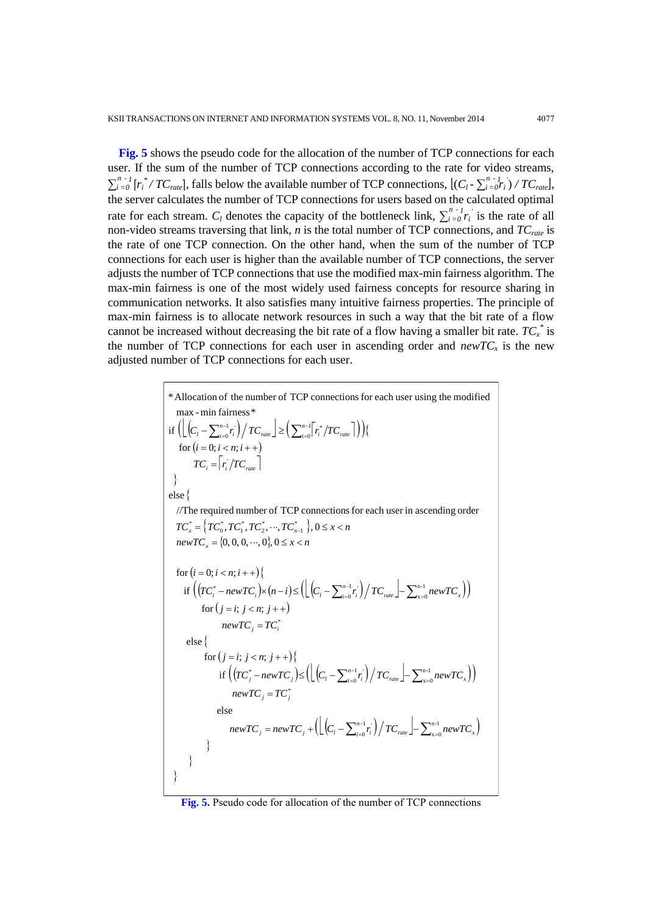**Fig. 5** shows the pseudo code for the allocation of the number of TCP connections for each user. If the sum of the number of TCP connections according to the rate for video streams, *∑i n = -*  $\frac{d}{dt}$   $[r_i^* / TC_{\text{rate}}]$ , falls below the available number of TCP connections,  $\left[ (C_l - \sum_{i=1}^{n} C_i)^2 \right]$ *= -*  $\int_0^1 r_i$ <sup>'</sup>) /  $TC$ <sub>rate</sub> $\int$ , the server calculates the number of TCP connections for users based on the calculated optimal rate for each stream.  $C_l$  denotes the capacity of the bottleneck link,  $\sum_i^n$ *= -*  $\int_0^1 r_i$  is the rate of all non-video streams traversing that link, *n* is the total number of TCP connections, and *TCrate* is the rate of one TCP connection. On the other hand, when the sum of the number of TCP connections for each user is higher than the available number of TCP connections, the server adjusts the number of TCP connections that use the modified max-min fairness algorithm. The max-min fairness is one of the most widely used fairness concepts for resource sharing in communication networks. It also satisfies many intuitive fairness properties. The principle of max-min fairness is to allocate network resources in such a way that the bit rate of a flow cannot be increased without decreasing the bit rate of a flow having a smaller bit rate. *TC<sup>x</sup> \** is the number of TCP connections for each user in ascending order and  $newTC_x$  is the new adjusted number of TCP connections for each user.

\* Allocation of the number of TCP connections for each user using the modified  
\nmax - min fairness \*  
\nif 
$$
\left( \left| \left( C_i - \sum_{i=0}^{n-1} r_i \right) / TC_{\text{rac}} \right| \ge \left( \sum_{i=0}^{n-1} \left[ r_i \right / TC_{\text{rac}} \right] \right) \right\}
$$
  
\nfor  $(i = 0; i < n; i++)$   
\n $TC_i = \left[ r_i \right / TC_{\text{rac}} \right]$   
\n}  
\nelse {  
\n// The required number of TCP connections for each user in ascending order  
\n $TC_x^* = \left\{ TC_0^*, TC_1^*, TC_2^*, \dots, TC_{n-1}^* \right\}, 0 \le x < n$   
\n $newTC_x = \{0, 0, 0, \dots, 0\}, 0 \le x < n$   
\nfor  $(i = 0; i < n; i++) \left\}$   
\nif  $\left( \left( TC_i^* - newTC_i \right) \times (n-i) \le \left( \left\lfloor (C_i - \sum_{i=0}^{n-1} r_i) / TC_{\text{rac}} \right\rfloor - \sum_{x=0}^{n-1} newTC_x \right) \right)$   
\nfor  $(j = i; j < n; j++) \left\}$   
\nelse {  
\nfor  $(j = i; j < n; j++) \left\}$   
\nif  $\left( \left( TC_j^* - newTC_j \right) \le \left( \left\lfloor (C_i - \sum_{i=0}^{n-1} r_i) / TC_{\text{rac}} \right\rfloor - \sum_{x=0}^{n-1} newTC_x \right) \right)$   
\n $newTC_j = TC_j^*$   
\nelse  
\n $newTC_j = newTC_j + (\left\lfloor (C_i - \sum_{i=0}^{n-1} r_i) / TC_{\text{rac}} \right\rfloor - \sum_{x=0}^{n-1} newTC_x \right)$   
\n}}  
\n}

**Fig. 5.** Pseudo code for allocation of the number of TCP connections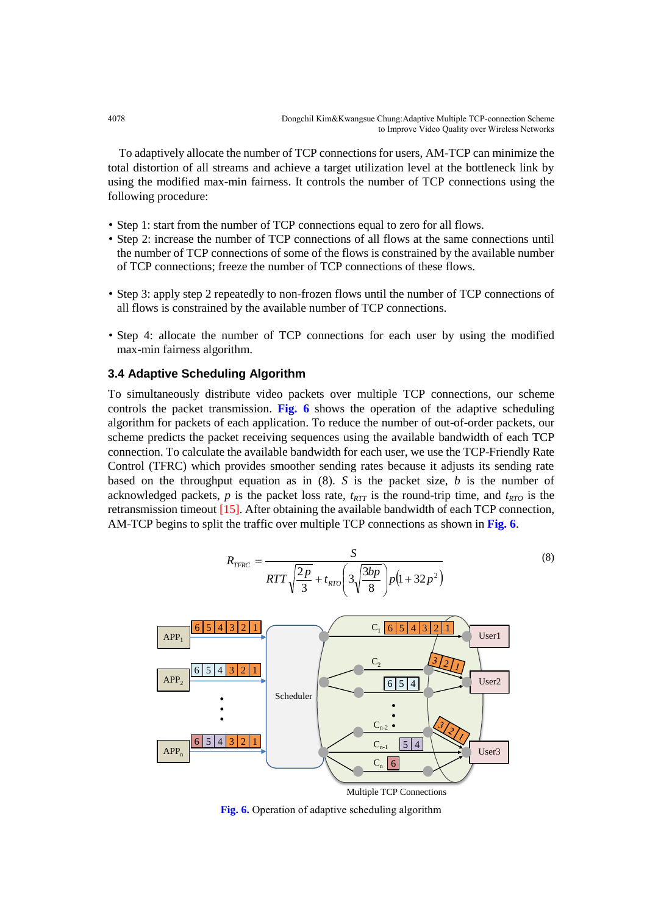To adaptively allocate the number of TCP connections for users, AM-TCP can minimize the total distortion of all streams and achieve a target utilization level at the bottleneck link by using the modified max-min fairness. It controls the number of TCP connections using the following procedure:

- Step 1: start from the number of TCP connections equal to zero for all flows.
- Step 2: increase the number of TCP connections of all flows at the same connections until the number of TCP connections of some of the flows is constrained by the available number of TCP connections; freeze the number of TCP connections of these flows.
- Step 3: apply step 2 repeatedly to non-frozen flows until the number of TCP connections of all flows is constrained by the available number of TCP connections.
- Step 4: allocate the number of TCP connections for each user by using the modified max-min fairness algorithm.

## **3.4 Adaptive Scheduling Algorithm**

To simultaneously distribute video packets over multiple TCP connections, our scheme controls the packet transmission. **Fig. 6** shows the operation of the adaptive scheduling algorithm for packets of each application. To reduce the number of out-of-order packets, our scheme predicts the packet receiving sequences using the available bandwidth of each TCP connection. To calculate the available bandwidth for each user, we use the TCP-Friendly Rate Control (TFRC) which provides smoother sending rates because it adjusts its sending rate based on the throughput equation as in (8). *S* is the packet size, *b* is the number of acknowledged packets,  $p$  is the packet loss rate,  $t_{RTT}$  is the round-trip time, and  $t_{RTO}$  is the retransmission timeout [15]. After obtaining the available bandwidth of each TCP connection, AM-TCP begins to split the traffic over multiple TCP connections as shown in **Fig. 6**.

$$
R_{TFRC} = \frac{S}{RTT\sqrt{\frac{2p}{3}} + t_{RTO}\left(3\sqrt{\frac{3bp}{8}}\right)p\left(1+32p^2\right)}
$$
(8)



**Fig. 6.** Operation of adaptive scheduling algorithm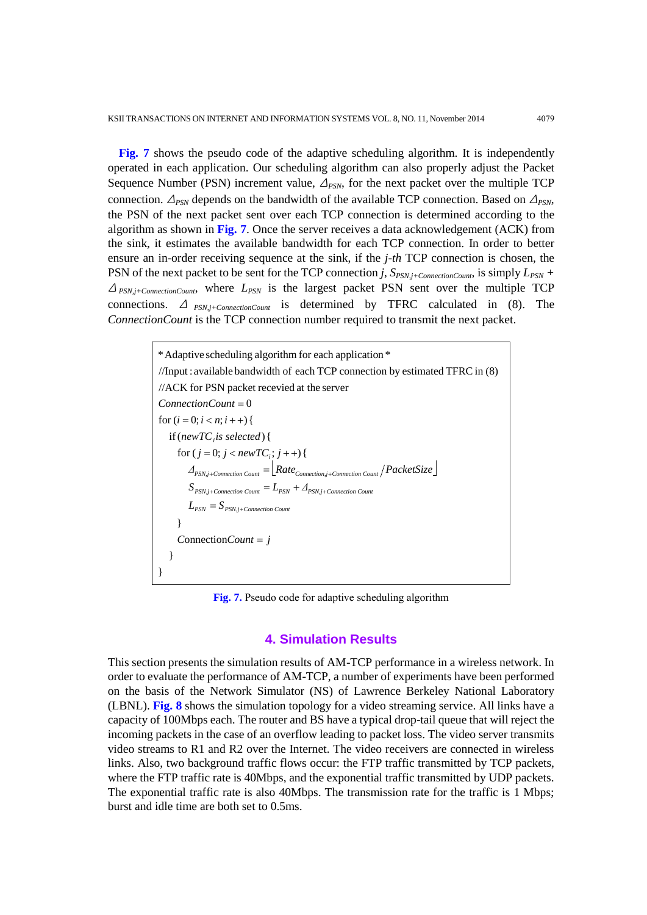**Fig. 7** shows the pseudo code of the adaptive scheduling algorithm. It is independently operated in each application. Our scheduling algorithm can also properly adjust the Packet Sequence Number (PSN) increment value,  $\Delta_{PSN}$ , for the next packet over the multiple TCP connection.  $\Delta_{PSN}$  depends on the bandwidth of the available TCP connection. Based on  $\Delta_{PSN}$ , the PSN of the next packet sent over each TCP connection is determined according to the algorithm as shown in **Fig. 7**. Once the server receives a data acknowledgement (ACK) from the sink, it estimates the available bandwidth for each TCP connection. In order to better ensure an in-order receiving sequence at the sink, if the *j-th* TCP connection is chosen, the PSN of the next packet to be sent for the TCP connection *j*,  $S_{PSN,i+ConnectionCount}$ , is simply  $L_{PSN}$  + <sup>Δ</sup> *PSN,j+ConnectionCount*, where *LPSN* is the largest packet PSN sent over the multiple TCP connections. <sup>Δ</sup> *PSN,j+ConnectionCount* is determined by TFRC calculated in (8). The *ConnectionCount* is the TCP connection number required to transmit the next packet.

> *Δ Rate PacketSize* } }  $ConnectionCount = j$ } if (*newTC*<sub>*i*</sub> *is selected*) {<br>
> for (*j* = 0; *j* < *newTC*<sub>*i*</sub>; *j* + +) { if  $(newTC<sub>i</sub>$  is selected) {  $ConnectionCount = 0$ <br>for  $(i = 0; i < n; i++)$ //ACK for PSN packet recevied at the server \* Adaptive scheduling algorithm for each application \*<br>//Input : available bandwidth of each TCP connection by estimated TFRC in (8)  $L_{PSN} = S_{PSN,j+Connection~Count}$  $S_{PSN.i+Connection\,Count} = L_{PSN} + \Delta_{PSN.i+Connection\,Count}$ *PSN,j*+Connection Count  $P_{PSN} = L_{PSN} + \Delta_{PSN,j+Connection \text{ Count}}$ <br>  $P_{PSN} = S_{PSN,j+Connection \text{ Count}}$ <br>  $P_{PSN} = S_{PSN,j+Connection \text{ Count}}$ *i*, *J* + + *J* 1  $= j$  $\sum_{t\text{-}\text{Connection Count}} = L_{PSN} + \Delta_{PSN,j+\text{Connection Count}}$ +Connection Count  $=$   $\lfloor Rate_{Connection,j+Connection\,Count} / PacketSize \rfloor$  $=0$

**Fig. 7.** Pseudo code for adaptive scheduling algorithm

### **4. Simulation Results**

This section presents the simulation results of AM-TCP performance in a wireless network. In order to evaluate the performance of AM-TCP, a number of experiments have been performed on the basis of the Network Simulator (NS) of Lawrence Berkeley National Laboratory (LBNL). **Fig. 8** shows the simulation topology for a video streaming service. All links have a capacity of 100Mbps each. The router and BS have a typical drop-tail queue that will reject the incoming packets in the case of an overflow leading to packet loss. The video server transmits video streams to R1 and R2 over the Internet. The video receivers are connected in wireless links. Also, two background traffic flows occur: the FTP traffic transmitted by TCP packets, where the FTP traffic rate is 40Mbps, and the exponential traffic transmitted by UDP packets. The exponential traffic rate is also 40Mbps. The transmission rate for the traffic is 1 Mbps; burst and idle time are both set to 0.5ms.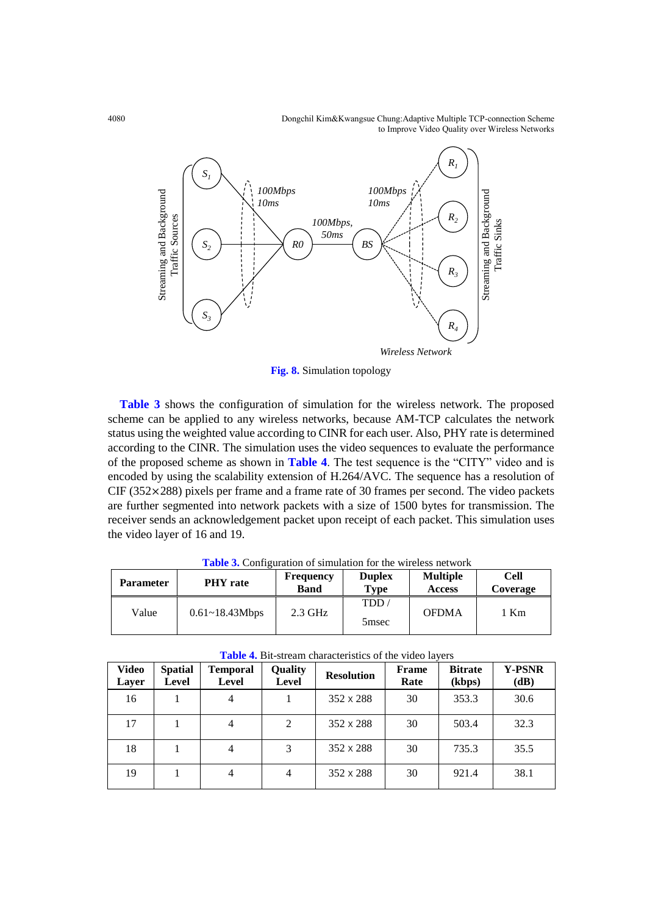4080 Dongchil Kim&Kwangsue Chung:Adaptive Multiple TCP-connection Scheme to Improve Video Quality over Wireless Networks



**Fig. 8.** Simulation topology

**Table 3** shows the configuration of simulation for the wireless network. The proposed scheme can be applied to any wireless networks, because AM-TCP calculates the network status using the weighted value according to CINR for each user. Also, PHY rate is determined according to the CINR. The simulation uses the video sequences to evaluate the performance of the proposed scheme as shown in **Table 4**. The test sequence is the "CITY" video and is encoded by using the scalability extension of H.264/AVC. The sequence has a resolution of CIF (352✕288) pixels per frame and a frame rate of 30 frames per second. The video packets are further segmented into network packets with a size of 1500 bytes for transmission. The receiver sends an acknowledgement packet upon receipt of each packet. This simulation uses the video layer of 16 and 19.

| <b>Parameter</b> | <b>PHY</b> rate    | <b>Frequency</b><br><b>Band</b> | <b>Duplex</b><br>Type     | <b>Multiple</b><br><b>Access</b> | <b>Cell</b><br>Coverage |
|------------------|--------------------|---------------------------------|---------------------------|----------------------------------|-------------------------|
| Value            | $0.61 - 18.43Mbps$ | $2.3$ GHz                       | TDD.<br>5 <sub>msec</sub> | <b>OFDMA</b>                     | l Km                    |

**Table 3.** Configuration of simulation for the wireless network

| <b>Table 4.</b> Bit-stream characteristics of the video layers |                                |                          |                         |                   |               |                          |                       |
|----------------------------------------------------------------|--------------------------------|--------------------------|-------------------------|-------------------|---------------|--------------------------|-----------------------|
| Video<br>Layer                                                 | <b>Spatial</b><br><b>Level</b> | <b>Temporal</b><br>Level | Quality<br><b>Level</b> | <b>Resolution</b> | Frame<br>Rate | <b>Bitrate</b><br>(kbps) | <b>Y-PSNR</b><br>(dB) |
| 16                                                             |                                | 4                        |                         | $352 \times 288$  | 30            | 353.3                    | 30.6                  |
| 17                                                             |                                | 4                        | 2                       | $352 \times 288$  | 30            | 503.4                    | 32.3                  |
| 18                                                             |                                | 4                        | 3                       | $352 \times 288$  | 30            | 735.3                    | 35.5                  |
| 19                                                             |                                | 4                        | 4                       | $352 \times 288$  | 30            | 921.4                    | 38.1                  |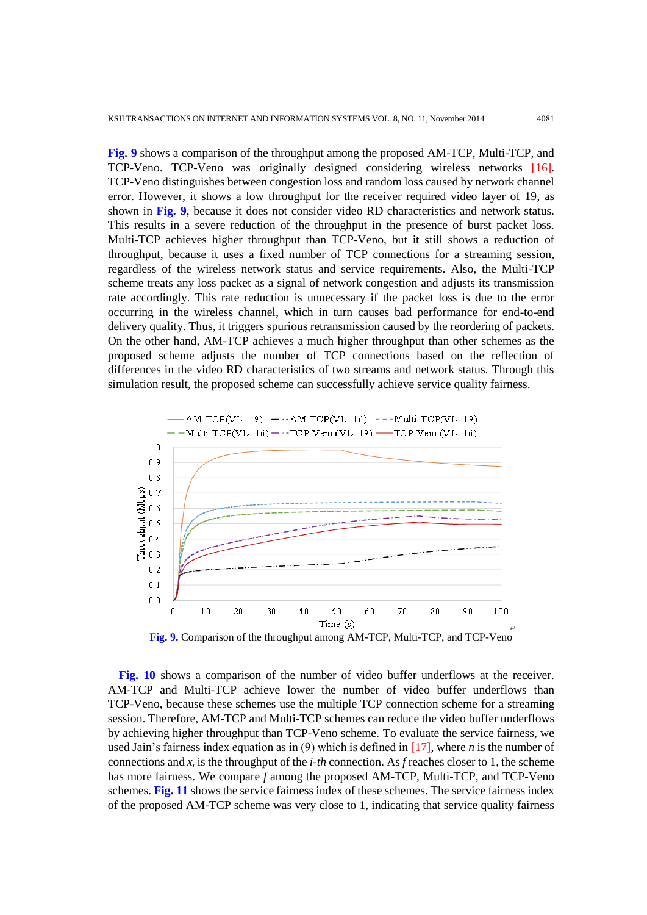**Fig. 9** shows a comparison of the throughput among the proposed AM-TCP, Multi-TCP, and TCP-Veno. TCP-Veno was originally designed considering wireless networks [16]. TCP-Veno distinguishes between congestion loss and random loss caused by network channel error. However, it shows a low throughput for the receiver required video layer of 19, as shown in **Fig. 9**, because it does not consider video RD characteristics and network status. This results in a severe reduction of the throughput in the presence of burst packet loss. Multi-TCP achieves higher throughput than TCP-Veno, but it still shows a reduction of throughput, because it uses a fixed number of TCP connections for a streaming session, regardless of the wireless network status and service requirements. Also, the Multi-TCP scheme treats any loss packet as a signal of network congestion and adjusts its transmission rate accordingly. This rate reduction is unnecessary if the packet loss is due to the error occurring in the wireless channel, which in turn causes bad performance for end-to-end delivery quality. Thus, it triggers spurious retransmission caused by the reordering of packets. On the other hand, AM-TCP achieves a much higher throughput than other schemes as the proposed scheme adjusts the number of TCP connections based on the reflection of differences in the video RD characteristics of two streams and network status. Through this simulation result, the proposed scheme can successfully achieve service quality fairness.



**Fig. 10** shows a comparison of the number of video buffer underflows at the receiver. AM-TCP and Multi-TCP achieve lower the number of video buffer underflows than TCP-Veno, because these schemes use the multiple TCP connection scheme for a streaming session. Therefore, AM-TCP and Multi-TCP schemes can reduce the video buffer underflows by achieving higher throughput than TCP-Veno scheme. To evaluate the service fairness, we used Jain's fairness index equation as in (9) which is defined in [17], where *n* is the number of connections and *x<sup>i</sup>* is the throughput of the *i-th* connection. As *f* reaches closer to 1, the scheme has more fairness. We compare *f* among the proposed AM-TCP, Multi-TCP, and TCP-Veno schemes. **Fig. 11** shows the service fairness index of these schemes. The service fairness index of the proposed AM-TCP scheme was very close to 1, indicating that service quality fairness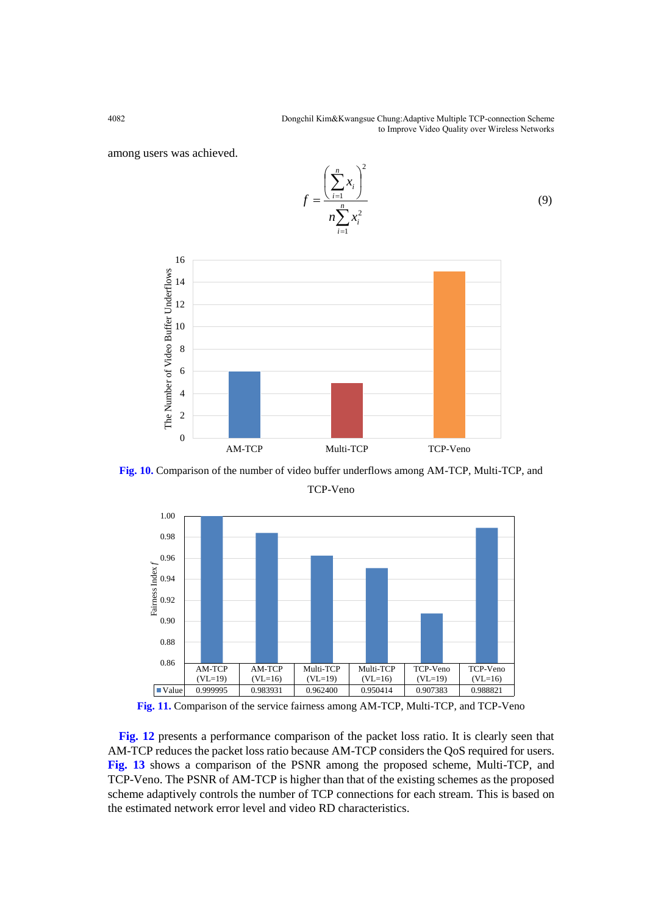among users was achieved.



**Fig. 10.** Comparison of the number of video buffer underflows among AM-TCP, Multi-TCP, and



TCP-Veno

**Fig. 11.** Comparison of the service fairness among AM-TCP, Multi-TCP, and TCP-Veno

**Fig. 12** presents a performance comparison of the packet loss ratio. It is clearly seen that AM-TCP reduces the packet loss ratio because AM-TCP considers the QoS required for users. **Fig. 13** shows a comparison of the PSNR among the proposed scheme, Multi-TCP, and TCP-Veno. The PSNR of AM-TCP is higher than that of the existing schemes as the proposed scheme adaptively controls the number of TCP connections for each stream. This is based on the estimated network error level and video RD characteristics.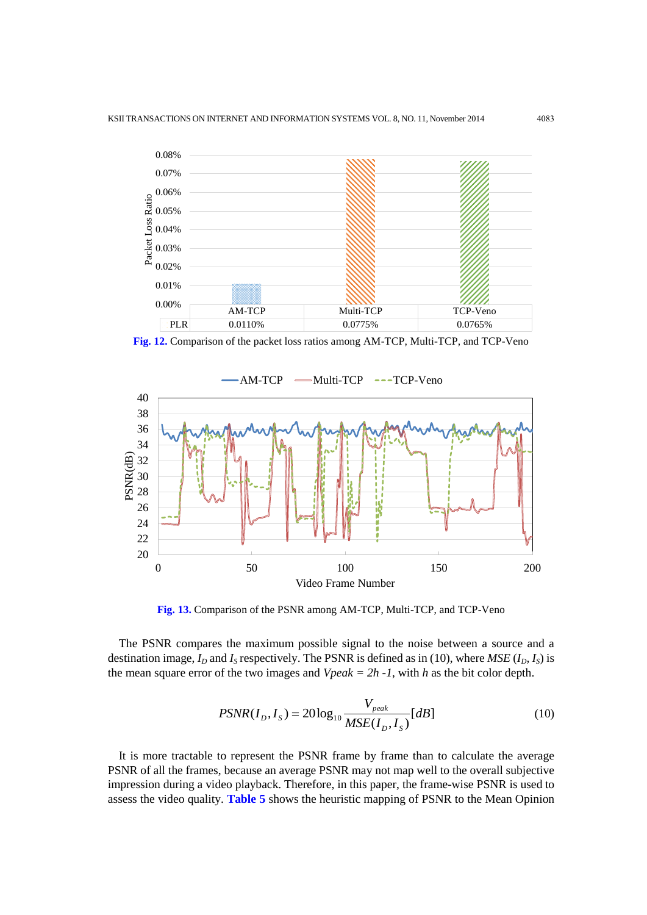

**Fig. 12.** Comparison of the packet loss ratios among AM-TCP, Multi-TCP, and TCP-Veno



**Fig. 13.** Comparison of the PSNR among AM-TCP, Multi-TCP, and TCP-Veno

The PSNR compares the maximum possible signal to the noise between a source and a destination image,  $I_D$  and  $I_S$  respectively. The PSNR is defined as in (10), where  $MSE$  ( $I_D$ ,  $I_S$ ) is the mean square error of the two images and *Vpeak = 2h -1*, with *h* as the bit color depth.

$$
PSNR(I_D, I_S) = 20 \log_{10} \frac{V_{peak}}{MSE(I_D, I_S)}[dB]
$$
\n(10)

It is more tractable to represent the PSNR frame by frame than to calculate the average PSNR of all the frames, because an average PSNR may not map well to the overall subjective impression during a video playback. Therefore, in this paper, the frame-wise PSNR is used to assess the video quality. **Table 5** shows the heuristic mapping of PSNR to the Mean Opinion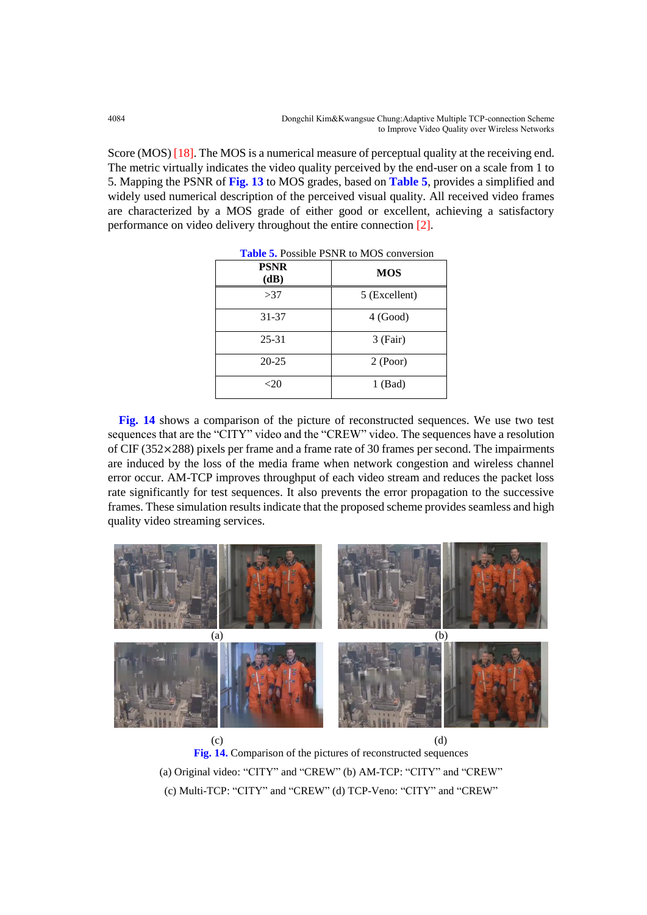Score (MOS) [18]. The MOS is a numerical measure of perceptual quality at the receiving end. The metric virtually indicates the video quality perceived by the end-user on a scale from 1 to 5. Mapping the PSNR of **Fig. 13** to MOS grades, based on **Table 5**, provides a simplified and widely used numerical description of the perceived visual quality. All received video frames are characterized by a MOS grade of either good or excellent, achieving a satisfactory performance on video delivery throughout the entire connection [2].

| <b>PSNR</b><br>(dB) | <b>MOS</b>    |  |  |  |
|---------------------|---------------|--|--|--|
| >37                 | 5 (Excellent) |  |  |  |
| 31-37               | 4 (Good)      |  |  |  |
| $25 - 31$           | $3$ (Fair)    |  |  |  |
| $20 - 25$           | 2 (Poor)      |  |  |  |
| $<$ 20              | $1$ (Bad)     |  |  |  |

**Table 5.** Possible PSNR to MOS conversion

**Fig. 14** shows a comparison of the picture of reconstructed sequences. We use two test sequences that are the "CITY" video and the "CREW" video. The sequences have a resolution of CIF (352✕288) pixels per frame and a frame rate of 30 frames per second. The impairments are induced by the loss of the media frame when network congestion and wireless channel error occur. AM-TCP improves throughput of each video stream and reduces the packet loss rate significantly for test sequences. It also prevents the error propagation to the successive frames. These simulation results indicate that the proposed scheme provides seamless and high quality video streaming services.



 $(c)$  (d) **Fig. 14.** Comparison of the pictures of reconstructed sequences (a) Original video: "CITY" and "CREW" (b) AM-TCP: "CITY" and "CREW" (c) Multi-TCP: "CITY" and "CREW" (d) TCP-Veno: "CITY" and "CREW"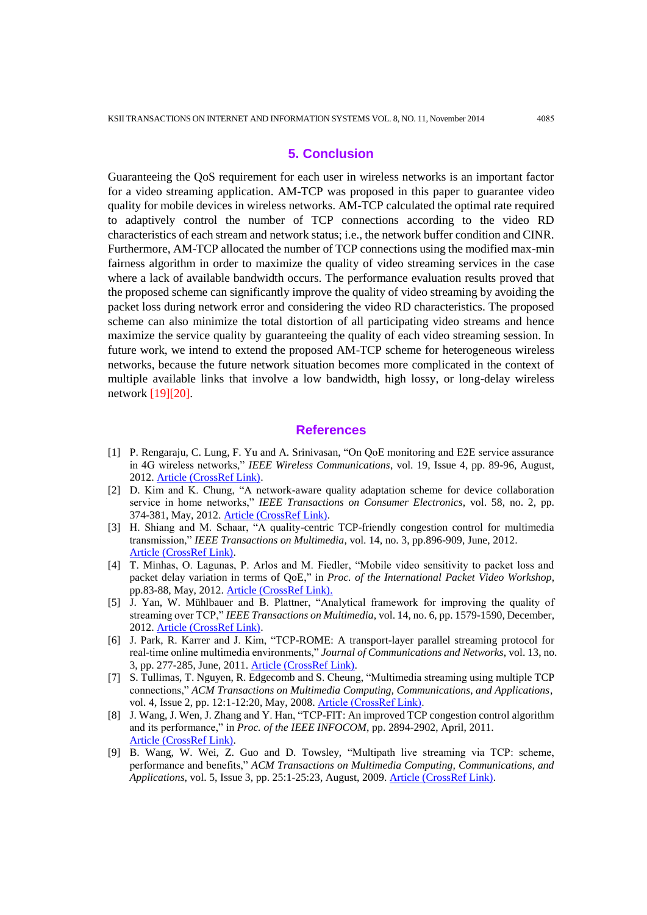#### **5. Conclusion**

Guaranteeing the QoS requirement for each user in wireless networks is an important factor for a video streaming application. AM-TCP was proposed in this paper to guarantee video quality for mobile devices in wireless networks. AM-TCP calculated the optimal rate required to adaptively control the number of TCP connections according to the video RD characteristics of each stream and network status; i.e., the network buffer condition and CINR. Furthermore, AM-TCP allocated the number of TCP connections using the modified max-min fairness algorithm in order to maximize the quality of video streaming services in the case where a lack of available bandwidth occurs. The performance evaluation results proved that the proposed scheme can significantly improve the quality of video streaming by avoiding the packet loss during network error and considering the video RD characteristics. The proposed scheme can also minimize the total distortion of all participating video streams and hence maximize the service quality by guaranteeing the quality of each video streaming session. In future work, we intend to extend the proposed AM-TCP scheme for heterogeneous wireless networks, because the future network situation becomes more complicated in the context of multiple available links that involve a low bandwidth, high lossy, or long-delay wireless network [19][20].

#### **References**

- [1] P. Rengaraju, C. Lung, F. Yu and A. Srinivasan, "On QoE monitoring and E2E service assurance in 4G wireless networks," *IEEE Wireless Communications*, vol. 19, Issue 4, pp. 89-96, August, 2012. [Article \(CrossRef Link\).](http://dx.doi.org/10.1109/MWC.2012.6272428)
- [2] D. Kim and K. Chung, "A network-aware quality adaptation scheme for device collaboration service in home networks," *IEEE Transactions on Consumer Electronics*, vol. 58, no. 2, pp. 374-381, May, 2012. [Article \(CrossRef Link\).](http://dx.doi.org/10.1109/TCE.2012.6227436)
- [3] H. Shiang and M. Schaar, "A quality-centric TCP-friendly congestion control for multimedia transmission," *IEEE Transactions on Multimedia*, vol. 14, no. 3, pp.896-909, June, 2012. [Article \(CrossRef Link\).](http://dx.doi.org/10.1109/TMM.2012.2187178)
- [4] T. Minhas, O. Lagunas, P. Arlos and M. Fiedler, "Mobile video sensitivity to packet loss and packet delay variation in terms of QoE," in *Proc. of the International Packet Video Workshop*, pp.83-88, May, 2012. [Article \(CrossRef Link\).](http://dx.doi.org/doi:10.1109/PV.2012.6229747)
- [5] J. Yan, W. Mühlbauer and B. Plattner, "Analytical framework for improving the quality of streaming over TCP," *IEEE Transactions on Multimedia*, vol. 14, no. 6, pp. 1579-1590, December, 2012. [Article \(CrossRef Link\).](http://dx.doi.org/10.1109/TMM.2012.2187182)
- [6] J. Park, R. Karrer and J. Kim, "TCP-ROME: A transport-layer parallel streaming protocol for real-time online multimedia environments," *Journal of Communications and Networks*, vol. 13, no. 3, pp. 277-285, June, 2011. [Article \(CrossRef Link\).](http://dx.doi.org/10.1109/JCN.2011.6157437)
- [7] S. Tullimas, T. Nguyen, R. Edgecomb and S. Cheung, "Multimedia streaming using multiple TCP connections," *ACM Transactions on Multimedia Computing, Communications, and Applications*, vol. 4, Issue 2, pp. 12:1-12:20, May, 2008. [Article \(CrossRef Link\).](http://dx.doi.org/doi:10.1145/1352012.1352016)
- [8] J. Wang, J. Wen, J. Zhang and Y. Han, "TCP-FIT: An improved TCP congestion control algorithm and its performance," in *Proc. of the IEEE INFOCOM*, pp. 2894-2902, April, 2011. [Article \(CrossRef Link\).](http://dx.doi.org/doi:10.1109/INFCOM.2011.5935128)
- [9] B. Wang, W. Wei, Z. Guo and D. Towsley, "Multipath live streaming via TCP: scheme, performance and benefits," *ACM Transactions on Multimedia Computing, Communications, and Applications*, vol. 5, Issue 3, pp. 25:1-25:23, August, 2009. [Article \(CrossRef Link\).](http://dx.doi.org/doi:10.1145/1556134.1556142)